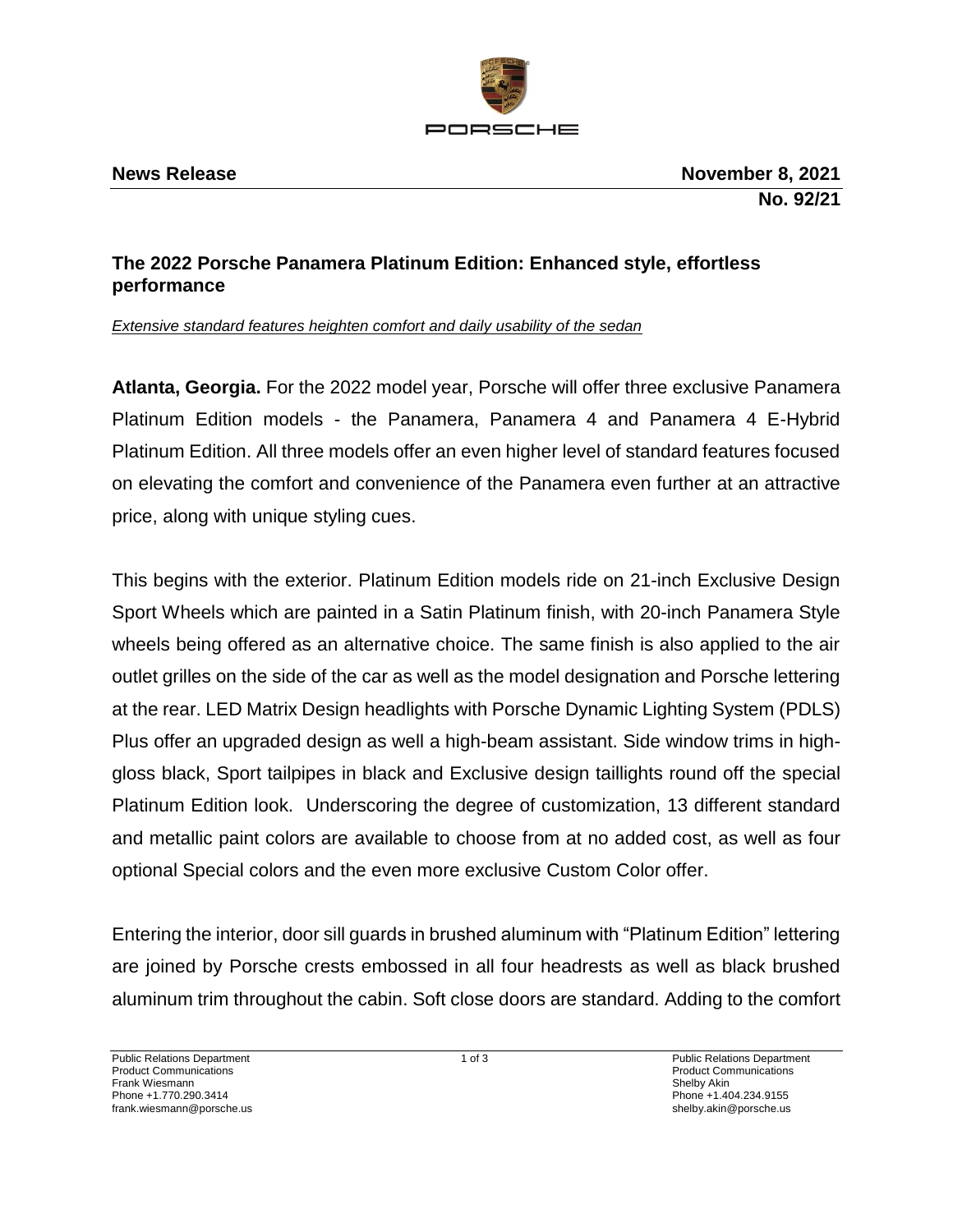

## **The 2022 Porsche Panamera Platinum Edition: Enhanced style, effortless performance**

*Extensive standard features heighten comfort and daily usability of the sedan* 

**Atlanta, Georgia.** For the 2022 model year, Porsche will offer three exclusive Panamera Platinum Edition models - the Panamera, Panamera 4 and Panamera 4 E-Hybrid Platinum Edition. All three models offer an even higher level of standard features focused on elevating the comfort and convenience of the Panamera even further at an attractive price, along with unique styling cues.

This begins with the exterior. Platinum Edition models ride on 21-inch Exclusive Design Sport Wheels which are painted in a Satin Platinum finish, with 20-inch Panamera Style wheels being offered as an alternative choice. The same finish is also applied to the air outlet grilles on the side of the car as well as the model designation and Porsche lettering at the rear. LED Matrix Design headlights with Porsche Dynamic Lighting System (PDLS) Plus offer an upgraded design as well a high-beam assistant. Side window trims in highgloss black, Sport tailpipes in black and Exclusive design taillights round off the special Platinum Edition look. Underscoring the degree of customization, 13 different standard and metallic paint colors are available to choose from at no added cost, as well as four optional Special colors and the even more exclusive Custom Color offer.

Entering the interior, door sill guards in brushed aluminum with "Platinum Edition" lettering are joined by Porsche crests embossed in all four headrests as well as black brushed aluminum trim throughout the cabin. Soft close doors are standard. Adding to the comfort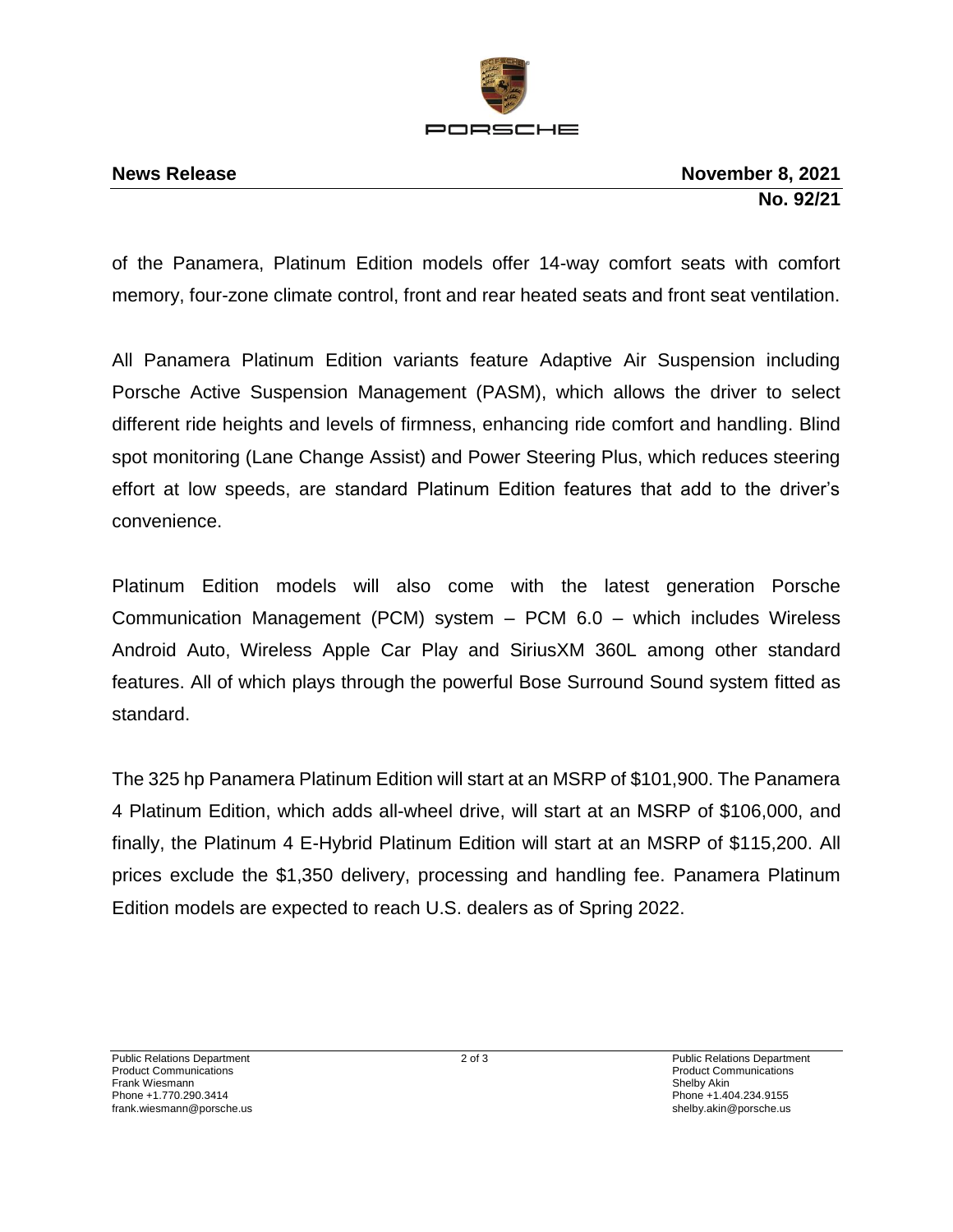

of the Panamera, Platinum Edition models offer 14-way comfort seats with comfort memory, four-zone climate control, front and rear heated seats and front seat ventilation.

All Panamera Platinum Edition variants feature Adaptive Air Suspension including Porsche Active Suspension Management (PASM), which allows the driver to select different ride heights and levels of firmness, enhancing ride comfort and handling. Blind spot monitoring (Lane Change Assist) and Power Steering Plus, which reduces steering effort at low speeds, are standard Platinum Edition features that add to the driver's convenience.

Platinum Edition models will also come with the latest generation Porsche Communication Management (PCM) system – PCM 6.0 – which includes Wireless Android Auto, Wireless Apple Car Play and SiriusXM 360L among other standard features. All of which plays through the powerful Bose Surround Sound system fitted as standard.

The 325 hp Panamera Platinum Edition will start at an MSRP of \$101,900. The Panamera 4 Platinum Edition, which adds all-wheel drive, will start at an MSRP of \$106,000, and finally, the Platinum 4 E-Hybrid Platinum Edition will start at an MSRP of \$115,200. All prices exclude the \$1,350 delivery, processing and handling fee. Panamera Platinum Edition models are expected to reach U.S. dealers as of Spring 2022.